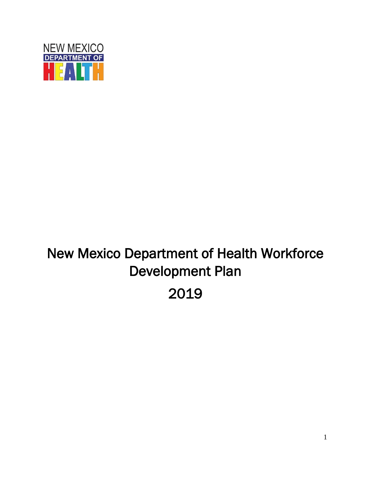

# New Mexico Department of Health Workforce Development Plan 2019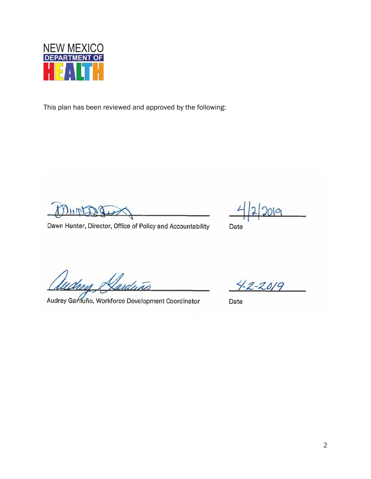

This plan has been reviewed and approved by the following:

Mintang

Dawn Hunter, Director, Office of Policy and Accountability

lа

Date

nduño

Audrey Garduño, Workforce Development Coordinator

 $42 - 2019$ 

Date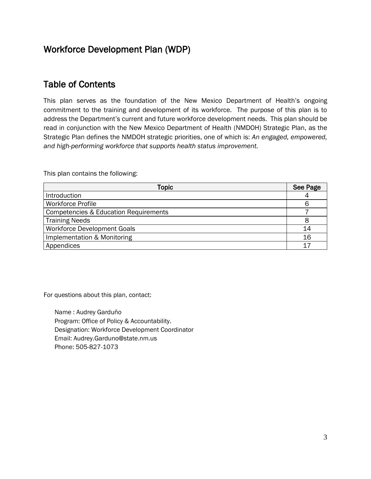### Workforce Development Plan (WDP)

### Table of Contents

This plan serves as the foundation of the New Mexico Department of Health's ongoing commitment to the training and development of its workforce. The purpose of this plan is to address the Department's current and future workforce development needs. This plan should be read in conjunction with the New Mexico Department of Health (NMDOH) Strategic Plan, as the Strategic Plan defines the NMDOH strategic priorities, one of which is: *An engaged, empowered, and high-performing workforce that supports health status improvement.*

This plan contains the following:

| Topic                                            | See Page |
|--------------------------------------------------|----------|
| Introduction                                     |          |
| <b>Workforce Profile</b>                         | 6        |
| <b>Competencies &amp; Education Requirements</b> |          |
| <b>Training Needs</b>                            |          |
| <b>Workforce Development Goals</b>               | 14       |
| Implementation & Monitoring                      | 16       |
| Appendices                                       |          |

For questions about this plan, contact:

Name : Audrey Garduño Program: Office of Policy & Accountability. Designation: Workforce Development Coordinator Email: Audrey.Garduno@state.nm.us Phone: 505-827-1073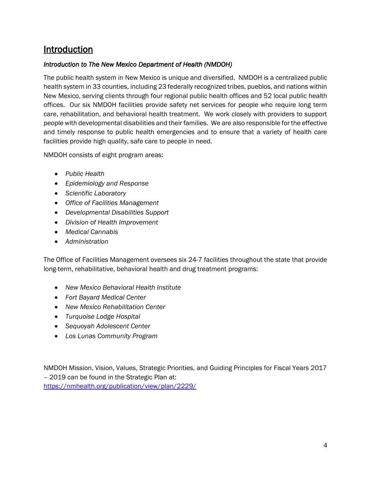### Introduction

#### *Introduction to The New Mexico Department of Health (NMDOH)*

The public health system in New Mexico is unique and diversified. NMDOH is a centralized public health system in 33 counties, including 23 federally recognized tribes, pueblos, and nations within New Mexico, serving clients through four regional public health offices and 52 local public health offices. Our six NMDOH facilities provide safety net services for people who require long term care, rehabilitation, and behavioral health treatment. We work closely with providers to support people with developmental disabilities and their families. We are also responsible for the effective and timely response to public health emergencies and to ensure that a variety of health care facilities provide high quality, safe care to people in need.

NMDOH consists of eight program areas:

- *Public Health*
- *Epidemiology and Response*
- *Scientific Laboratory*
- *Office of Facilities Management*
- *Developmental Disabilities Support*
- *Division of Health Improvement*
- *Medical Cannabis*
- *Administration*

The Office of Facilities Management oversees six 24-7 facilities throughout the state that provide long-term, rehabilitative, behavioral health and drug treatment programs:

- *New Mexico Behavioral Health Institute*
- *Fort Bayard Medical Center*
- *New Mexico Rehabilitation Center*
- *Turquoise Lodge Hospital*
- *Sequoyah Adolescent Center*
- *Los Lunas Community Program*

NMDOH Mission, Vision, Values, Strategic Priorities, and Guiding Principles for Fiscal Years 2017 – 2019 can be found in the Strategic Plan at: <https://nmhealth.org/publication/view/plan/2229/>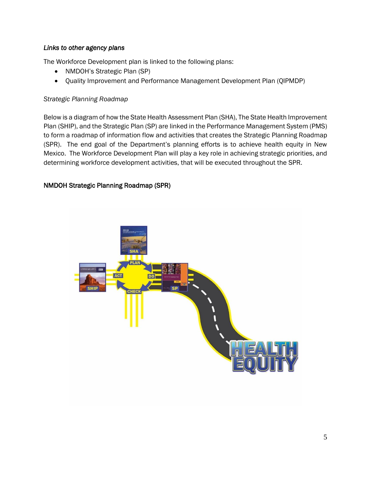#### *Links to other agency plans*

The Workforce Development plan is linked to the following plans:

- NMDOH's Strategic Plan (SP)
- Quality Improvement and Performance Management Development Plan (QIPMDP)

#### *Strategic Planning Roadmap*

Below is a diagram of how the State Health Assessment Plan (SHA), The State Health Improvement Plan (SHIP), and the Strategic Plan (SP) are linked in the Performance Management System (PMS) to form a roadmap of information flow and activities that creates the Strategic Planning Roadmap (SPR). The end goal of the Department's planning efforts is to achieve health equity in New Mexico. The Workforce Development Plan will play a key role in achieving strategic priorities, and determining workforce development activities, that will be executed throughout the SPR.

#### NMDOH Strategic Planning Roadmap (SPR)

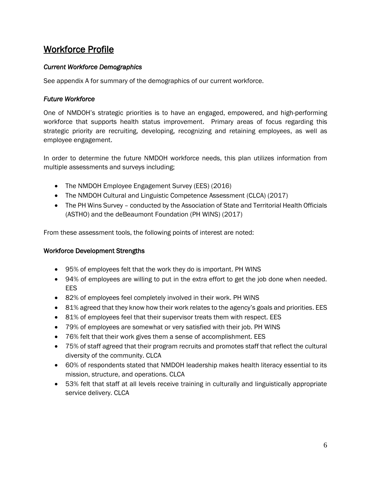### Workforce Profile

#### *Current Workforce Demographics*

See appendix A for summary of the demographics of our current workforce.

#### *Future Workforce*

One of NMDOH's strategic priorities is to have an engaged, empowered, and high-performing workforce that supports health status improvement. Primary areas of focus regarding this strategic priority are recruiting, developing, recognizing and retaining employees, as well as employee engagement.

In order to determine the future NMDOH workforce needs, this plan utilizes information from multiple assessments and surveys including;

- The NMDOH Employee Engagement Survey (EES) (2016)
- The NMDOH Cultural and Linguistic Competence Assessment (CLCA) (2017)
- The PH Wins Survey conducted by the Association of State and Territorial Health Officials (ASTHO) and the deBeaumont Foundation (PH WINS) (2017)

From these assessment tools, the following points of interest are noted:

#### Workforce Development Strengths

- 95% of employees felt that the work they do is important. PH WINS
- 94% of employees are willing to put in the extra effort to get the job done when needed. EES
- 82% of employees feel completely involved in their work. PH WINS
- 81% agreed that they know how their work relates to the agency's goals and priorities. EES
- 81% of employees feel that their supervisor treats them with respect. EES
- 79% of employees are somewhat or very satisfied with their job. PH WINS
- 76% felt that their work gives them a sense of accomplishment. EES
- 75% of staff agreed that their program recruits and promotes staff that reflect the cultural diversity of the community. CLCA
- 60% of respondents stated that NMDOH leadership makes health literacy essential to its mission, structure, and operations. CLCA
- 53% felt that staff at all levels receive training in culturally and linguistically appropriate service delivery. CLCA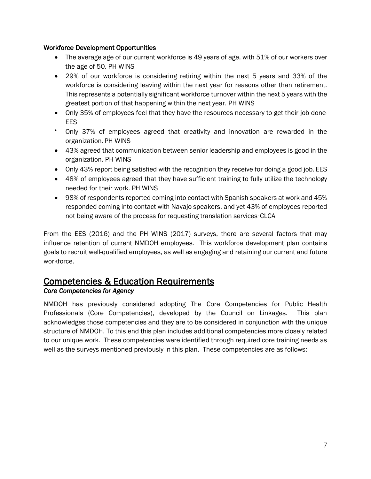#### Workforce Development Opportunities

- The average age of our current workforce is 49 years of age, with 51% of our workers over the age of 50. PH WINS
- 29% of our workforce is considering retiring within the next 5 years and 33% of the workforce is considering leaving within the next year for reasons other than retirement. This represents a potentially significant workforce turnover within the next 5 years with the greatest portion of that happening within the next year. PH WINS
- Only 35% of employees feel that they have the resources necessary to get their job done. EES
- Only 37% of employees agreed that creativity and innovation are rewarded in the organization. PH WINS
- 43% agreed that communication between senior leadership and employees is good in the organization. PH WINS
- Only 43% report being satisfied with the recognition they receive for doing a good job. EES
- 48% of employees agreed that they have sufficient training to fully utilize the technology needed for their work. PH WINS
- 98% of respondents reported coming into contact with Spanish speakers at work and 45% responded coming into contact with Navajo speakers, and yet 43% of employees reported not being aware of the process for requesting translation services. CLCA

From the EES (2016) and the PH WINS (2017) surveys, there are several factors that may influence retention of current NMDOH employees. This workforce development plan contains goals to recruit well-qualified employees, as well as engaging and retaining our current and future workforce.

### Competencies & Education Requirements

#### *Core Competencies for Agency*

NMDOH has previously considered adopting The Core Competencies for Public Health Professionals (Core Competencies), developed by the Council on Linkages. This plan acknowledges those competencies and they are to be considered in conjunction with the unique structure of NMDOH. To this end this plan includes additional competencies more closely related to our unique work. These competencies were identified through required core training needs as well as the surveys mentioned previously in this plan. These competencies are as follows: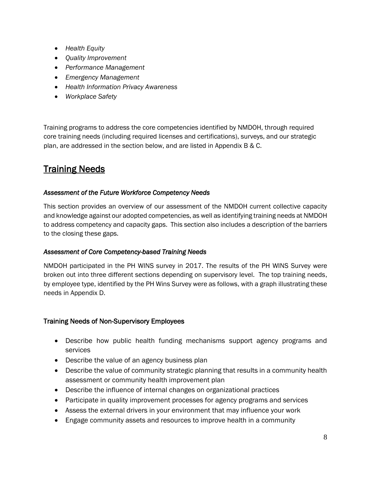- *Health Equity*
- *Quality Improvement*
- *Performance Management*
- *Emergency Management*
- *Health Information Privacy Awareness*
- *Workplace Safety*

Training programs to address the core competencies identified by NMDOH, through required core training needs (including required licenses and certifications), surveys, and our strategic plan, are addressed in the section below, and are listed in Appendix B & C.

### **Training Needs**

#### *Assessment of the Future Workforce Competency Needs*

This section provides an overview of our assessment of the NMDOH current collective capacity and knowledge against our adopted competencies, as well as identifying training needs at NMDOH to address competency and capacity gaps. This section also includes a description of the barriers to the closing these gaps.

#### *Assessment of Core Competency-based Training Needs*

NMDOH participated in the PH WINS survey in 2017. The results of the PH WINS Survey were broken out into three different sections depending on supervisory level. The top training needs, by employee type, identified by the PH Wins Survey were as follows, with a graph illustrating these needs in Appendix D.

#### Training Needs of Non-Supervisory Employees

- Describe how public health funding mechanisms support agency programs and services
- Describe the value of an agency business plan
- Describe the value of community strategic planning that results in a community health assessment or community health improvement plan
- Describe the influence of internal changes on organizational practices
- Participate in quality improvement processes for agency programs and services
- Assess the external drivers in your environment that may influence your work
- Engage community assets and resources to improve health in a community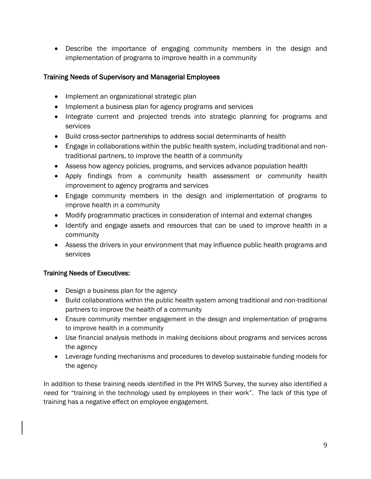• Describe the importance of engaging community members in the design and implementation of programs to improve health in a community

#### Training Needs of Supervisory and Managerial Employees

- Implement an organizational strategic plan
- Implement a business plan for agency programs and services
- Integrate current and projected trends into strategic planning for programs and services
- Build cross-sector partnerships to address social determinants of health
- Engage in collaborations within the public health system, including traditional and nontraditional partners, to improve the health of a community
- Assess how agency policies, programs, and services advance population health
- Apply findings from a community health assessment or community health improvement to agency programs and services
- Engage community members in the design and implementation of programs to improve health in a community
- Modify programmatic practices in consideration of internal and external changes
- Identify and engage assets and resources that can be used to improve health in a community
- Assess the drivers in your environment that may influence public health programs and services

#### Training Needs of Executives:

- Design a business plan for the agency
- Build collaborations within the public health system among traditional and non-traditional partners to improve the health of a community
- Ensure community member engagement in the design and implementation of programs to improve health in a community
- Use financial analysis methods in making decisions about programs and services across the agency
- Leverage funding mechanisms and procedures to develop sustainable funding models for the agency

In addition to these training needs identified in the PH WINS Survey, the survey also identified a need for "training in the technology used by employees in their work". The lack of this type of training has a negative effect on employee engagement.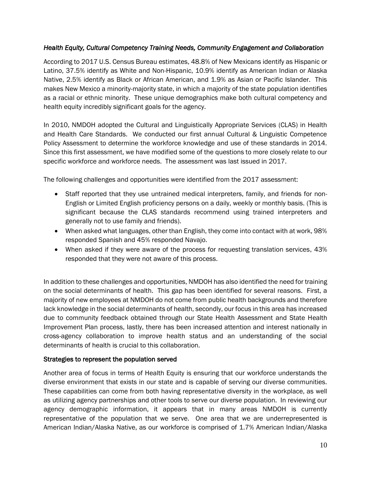#### *Health Equity, Cultural Competency Training Needs, Community Engagement and Collaboration*

According to 2017 U.S. Census Bureau estimates, 48.8% of New Mexicans identify as Hispanic or Latino, 37.5% identify as White and Non-Hispanic, 10.9% identify as American Indian or Alaska Native, 2.5% identify as Black or African American, and 1.9% as Asian or Pacific Islander. This makes New Mexico a minority-majority state, in which a majority of the state population identifies as a racial or ethnic minority. These unique demographics make both cultural competency and health equity incredibly significant goals for the agency.

In 2010, NMDOH adopted the Cultural and Linguistically Appropriate Services (CLAS) in Health and Health Care Standards. We conducted our first annual Cultural & Linguistic Competence Policy Assessment to determine the workforce knowledge and use of these standards in 2014. Since this first assessment, we have modified some of the questions to more closely relate to our specific workforce and workforce needs. The assessment was last issued in 2017.

The following challenges and opportunities were identified from the 2017 assessment:

- Staff reported that they use untrained medical interpreters, family, and friends for non-English or Limited English proficiency persons on a daily, weekly or monthly basis. (This is significant because the CLAS standards recommend using trained interpreters and generally not to use family and friends).
- When asked what languages, other than English, they come into contact with at work, 98% responded Spanish and 45% responded Navajo.
- When asked if they were aware of the process for requesting translation services, 43% responded that they were not aware of this process.

In addition to these challenges and opportunities, NMDOH has also identified the need for training on the social determinants of health. This gap has been identified for several reasons. First, a majority of new employees at NMDOH do not come from public health backgrounds and therefore lack knowledge in the social determinants of health, secondly, our focus in this area has increased due to community feedback obtained through our State Health Assessment and State Health Improvement Plan process, lastly, there has been increased attention and interest nationally in cross-agency collaboration to improve health status and an understanding of the social determinants of health is crucial to this collaboration.

#### Strategies to represent the population served

Another area of focus in terms of Health Equity is ensuring that our workforce understands the diverse environment that exists in our state and is capable of serving our diverse communities. These capabilities can come from both having representative diversity in the workplace, as well as utilizing agency partnerships and other tools to serve our diverse population. In reviewing our agency demographic information, it appears that in many areas NMDOH is currently representative of the population that we serve. One area that we are underrepresented is American Indian/Alaska Native, as our workforce is comprised of 1.7% American Indian/Alaska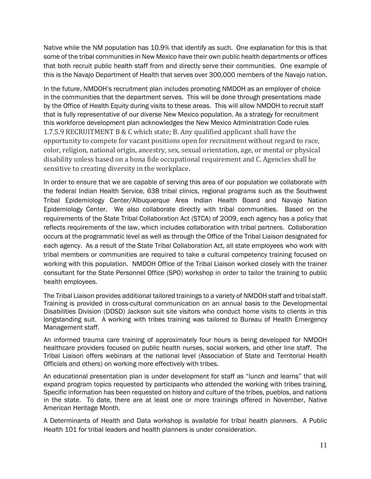Native while the NM population has 10.9% that identify as such. One explanation for this is that some of the tribal communities in New Mexico have their own public health departments or offices that both recruit public health staff from and directly serve their communities. One example of this is the Navajo Department of Health that serves over 300,000 members of the Navajo nation.

In the future, NMDOH's recruitment plan includes promoting NMDOH as an employer of choice in the communities that the department serves. This will be done through presentations made by the Office of Health Equity during visits to these areas. This will allow NMDOH to recruit staff that is fully representative of our diverse New Mexico population. As a strategy for recruitment this workforce development plan acknowledges the New Mexico Administration Code rules 1.7.5.9 RECRUITMENT B & C which state; B. Any qualified applicant shall have the opportunity to compete for vacant positions open for recruitment without regard to race, color, religion, national origin, ancestry, sex, sexual orientation, age, or mental or physical disability unless based on a bona fide occupational requirement and C. Agencies shall be sensitive to creating diversity in the workplace.

In order to ensure that we are capable of serving this area of our population we collaborate with the federal Indian Health Service, 638 tribal clinics, regional programs such as the Southwest Tribal Epidemiology Center/Albuquerque Area Indian Health Board and Navajo Nation Epidemiology Center. We also collaborate directly with tribal communities. Based on the requirements of the State Tribal Collaboration Act (STCA) of 2009, each agency has a policy that reflects requirements of the law, which includes collaboration with tribal partners. Collaboration occurs at the programmatic level as well as through the Office of the Tribal Liaison designated for each agency. As a result of the State Tribal Collaboration Act, all state employees who work with tribal members or communities are required to take a cultural competency training focused on working with this population. NMDOH Office of the Tribal Liaison worked closely with the trainer consultant for the State Personnel Office (SPO) workshop in order to tailor the training to public health employees.

The Tribal Liaison provides additional tailored trainings to a variety of NMDOH staff and tribal staff. Training is provided in cross-cultural communication on an annual basis to the Developmental Disabilities Division (DDSD) Jackson suit site visitors who conduct home visits to clients in this longstanding suit. A working with tribes training was tailored to Bureau of Health Emergency Management staff.

An informed trauma care training of approximately four hours is being developed for NMDOH healthcare providers focused on public health nurses, social workers, and other line staff. The Tribal Liaison offers webinars at the national level (Association of State and Territorial Health Officials and others) on working more effectively with tribes.

An educational presentation plan is under development for staff as "lunch and learns" that will expand program topics requested by participants who attended the working with tribes training. Specific information has been requested on history and culture of the tribes, pueblos, and nations in the state. To date, there are at least one or more trainings offered in November, Native American Heritage Month.

A Determinants of Health and Data workshop is available for tribal health planners. A Public Health 101 for tribal leaders and health planners is under consideration.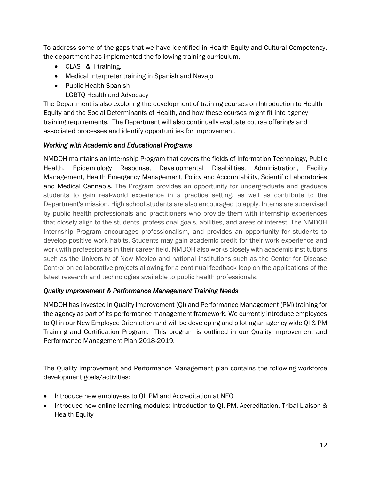To address some of the gaps that we have identified in Health Equity and Cultural Competency, the department has implemented the following training curriculum,

- CLAS I & II training.
- Medical Interpreter training in Spanish and Navajo
- Public Health Spanish
	- LGBTQ Health and Advocacy

The Department is also exploring the development of training courses on Introduction to Health Equity and the Social Determinants of Health, and how these courses might fit into agency training requirements. The Department will also continually evaluate course offerings and associated processes and identify opportunities for improvement.

#### *Working with Academic and Educational Programs*

NMDOH maintains an Internship Program that covers the fields of Information Technology, Public Health, Epidemiology Response, Developmental Disabilities, Administration, Facility Management, Health Emergency Management, Policy and Accountability, Scientific Laboratories and Medical Cannabis. The Program provides an opportunity for undergraduate and graduate students to gain real-world experience in a practice setting, as well as contribute to the Department's mission. High school students are also encouraged to apply. Interns are supervised by public health professionals and practitioners who provide them with internship experiences that closely align to the students' professional goals, abilities, and areas of interest. The NMDOH Internship Program encourages professionalism, and provides an opportunity for students to develop positive work habits. Students may gain academic credit for their work experience and work with professionals in their career field. NMDOH also works closely with academic institutions such as the University of New Mexico and national institutions such as the Center for Disease Control on collaborative projects allowing for a continual feedback loop on the applications of the latest research and technologies available to public health professionals.

#### *Quality Improvement & Performance Management Training Needs*

NMDOH has invested in Quality Improvement (QI) and Performance Management (PM) training for the agency as part of its performance management framework. We currently introduce employees to QI in our New Employee Orientation and will be developing and piloting an agency wide QI & PM Training and Certification Program. This program is outlined in our Quality Improvement and Performance Management Plan 2018-2019.

The Quality Improvement and Performance Management plan contains the following workforce development goals/activities:

- Introduce new employees to QI, PM and Accreditation at NEO
- Introduce new online learning modules: Introduction to QI, PM, Accreditation, Tribal Liaison & Health Equity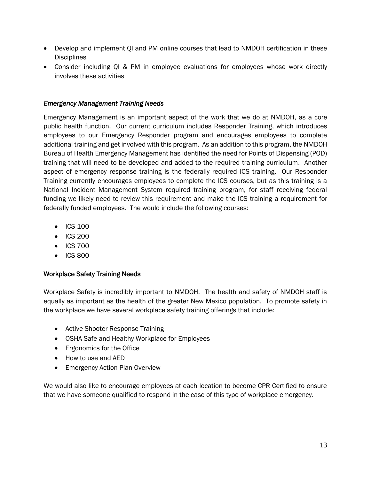- Develop and implement QI and PM online courses that lead to NMDOH certification in these **Disciplines**
- Consider including QI & PM in employee evaluations for employees whose work directly involves these activities

#### *Emergency Management Training Needs*

Emergency Management is an important aspect of the work that we do at NMDOH, as a core public health function. Our current curriculum includes Responder Training, which introduces employees to our Emergency Responder program and encourages employees to complete additional training and get involved with this program. As an addition to this program, the NMDOH Bureau of Health Emergency Management has identified the need for Points of Dispensing (POD) training that will need to be developed and added to the required training curriculum. Another aspect of emergency response training is the federally required ICS training. Our Responder Training currently encourages employees to complete the ICS courses, but as this training is a National Incident Management System required training program, for staff receiving federal funding we likely need to review this requirement and make the ICS training a requirement for federally funded employees. The would include the following courses:

- ICS 100
- ICS 200
- ICS 700
- ICS 800

#### Workplace Safety Training Needs

Workplace Safety is incredibly important to NMDOH. The health and safety of NMDOH staff is equally as important as the health of the greater New Mexico population. To promote safety in the workplace we have several workplace safety training offerings that include:

- Active Shooter Response Training
- OSHA Safe and Healthy Workplace for Employees
- Ergonomics for the Office
- How to use and AED
- Emergency Action Plan Overview

We would also like to encourage employees at each location to become CPR Certified to ensure that we have someone qualified to respond in the case of this type of workplace emergency.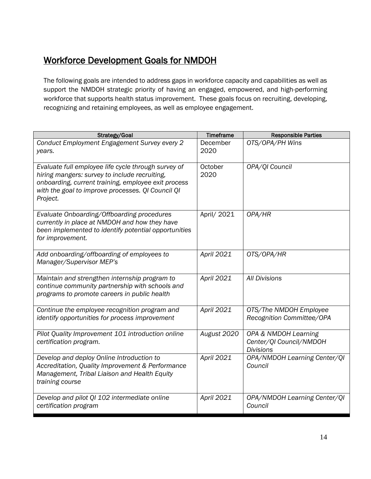### Workforce Development Goals for NMDOH

The following goals are intended to address gaps in workforce capacity and capabilities as well as support the NMDOH strategic priority of having an engaged, empowered, and high-performing workforce that supports health status improvement. These goals focus on recruiting, developing, recognizing and retaining employees, as well as employee engagement.

| Strategy/Goal                                                                                                                                                                                                                | <b>Timeframe</b> | <b>Responsible Parties</b>                                          |
|------------------------------------------------------------------------------------------------------------------------------------------------------------------------------------------------------------------------------|------------------|---------------------------------------------------------------------|
| Conduct Employment Engagement Survey every 2<br>years.                                                                                                                                                                       | December<br>2020 | OTS/OPA/PH Wins                                                     |
| Evaluate full employee life cycle through survey of<br>hiring mangers: survey to include recruiting,<br>onboarding, current training, employee exit process<br>with the goal to improve processes. QI Council QI<br>Project. | October<br>2020  | OPA/QI Council                                                      |
| Evaluate Onboarding/Offboarding procedures<br>currently in place at NMDOH and how they have<br>been implemented to identify potential opportunities<br>for improvement.                                                      | April/ 2021      | OPA/HR                                                              |
| Add onboarding/offboarding of employees to<br>Manager/Supervisor MEP's                                                                                                                                                       | April 2021       | OTS/OPA/HR                                                          |
| Maintain and strengthen internship program to<br>continue community partnership with schools and<br>programs to promote careers in public health                                                                             | April 2021       | <b>All Divisions</b>                                                |
| Continue the employee recognition program and<br>identify opportunities for process improvement                                                                                                                              | April 2021       | OTS/The NMDOH Employee<br>Recognition Committee/OPA                 |
| Pilot Quality Improvement 101 introduction online<br>certification program.                                                                                                                                                  | August 2020      | OPA & NMDOH Learning<br>Center/QI Council/NMDOH<br><b>Divisions</b> |
| Develop and deploy Online Introduction to<br>Accreditation, Quality Improvement & Performance<br>Management, Tribal Liaison and Health Equity<br>training course                                                             | April 2021       | OPA/NMDOH Learning Center/QI<br>Council                             |
| Develop and pilot QI 102 intermediate online<br>certification program                                                                                                                                                        | April 2021       | OPA/NMDOH Learning Center/QI<br>Council                             |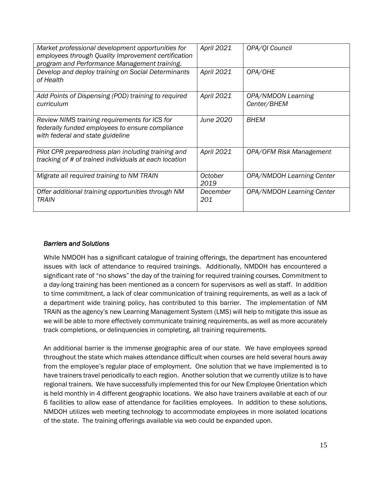| Market professional development opportunities for<br>employees through Quality Improvement certification<br>program and Performance Management training. | April 2021       | OPA/QI Council                    |
|----------------------------------------------------------------------------------------------------------------------------------------------------------|------------------|-----------------------------------|
| Develop and deploy training on Social Determinants<br>of Health                                                                                          | April 2021       | OPA/OHE                           |
| Add Points of Dispensing (POD) training to required<br>curriculum                                                                                        | April 2021       | OPA/NMDON Learning<br>Center/BHEM |
| Review NIMS training requirements for ICS for<br>federally funded employees to ensure compliance<br>with federal and state guideline                     | <b>June 2020</b> | <b>BHEM</b>                       |
| Pilot CPR preparedness plan including training and<br>tracking of # of trained individuals at each location                                              | April 2021       | OPA/OFM Risk Management           |
| Migrate all required training to NM TRAIN                                                                                                                | October<br>2019  | OPA/NMDOH Learning Center         |
| Offer additional training opportunities through NM<br>TRAIN                                                                                              | December<br>201  | OPA/NMDOH Learning Center         |

#### *Barriers and Solutions*

While NMDOH has a significant catalogue of training offerings, the department has encountered issues with lack of attendance to required trainings. Additionally, NMDOH has encountered a significant rate of "no shows" the day of the training for required training courses. Commitment to a day-long training has been mentioned as a concern for supervisors as well as staff. In addition to time commitment, a lack of clear communication of training requirements, as well as a lack of a department wide training policy, has contributed to this barrier. The implementation of NM TRAIN as the agency's new Learning Management System (LMS) will help to mitigate this issue as we will be able to more effectively communicate training requirements, as well as more accurately track completions, or delinquencies in completing, all training requirements.

An additional barrier is the immense geographic area of our state. We have employees spread throughout the state which makes attendance difficult when courses are held several hours away from the employee's regular place of employment. One solution that we have implemented is to have trainers travel periodically to each region. Another solution that we currently utilize is to have regional trainers. We have successfully implemented this for our New Employee Orientation which is held monthly in 4 different geographic locations. We also have trainers available at each of our 6 facilities to allow ease of attendance for facilities employees. In addition to these solutions, NMDOH utilizes web meeting technology to accommodate employees in more isolated locations of the state. The training offerings available via web could be expanded upon.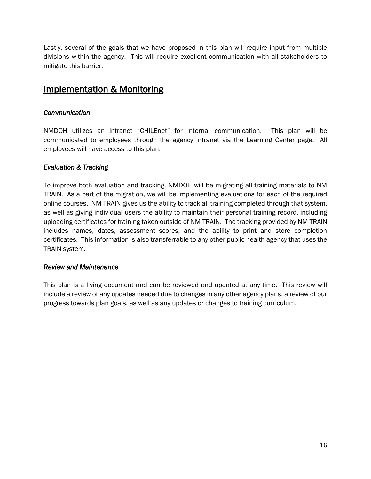Lastly, several of the goals that we have proposed in this plan will require input from multiple divisions within the agency. This will require excellent communication with all stakeholders to mitigate this barrier.

### Implementation & Monitoring

#### *Communication*

NMDOH utilizes an intranet "CHILEnet" for internal communication. This plan will be communicated to employees through the agency intranet via the Learning Center page. All employees will have access to this plan.

#### *Evaluation & Tracking*

To improve both evaluation and tracking, NMDOH will be migrating all training materials to NM TRAIN. As a part of the migration, we will be implementing evaluations for each of the required online courses. NM TRAIN gives us the ability to track all training completed through that system, as well as giving individual users the ability to maintain their personal training record, including uploading certificates for training taken outside of NM TRAIN. The tracking provided by NM TRAIN includes names, dates, assessment scores, and the ability to print and store completion certificates. This information is also transferrable to any other public health agency that uses the TRAIN system.

#### *Review and Maintenance*

This plan is a living document and can be reviewed and updated at any time. This review will include a review of any updates needed due to changes in any other agency plans, a review of our progress towards plan goals, as well as any updates or changes to training curriculum.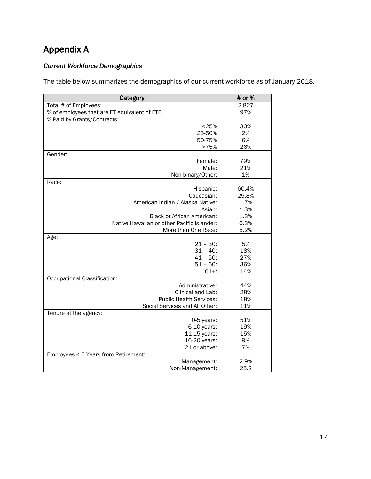# Appendix A

#### *Current Workforce Demographics*

The table below summarizes the demographics of our current workforce as of January 2018.

| Category                                        | # or %     |
|-------------------------------------------------|------------|
| Total # of Employees:                           | 2,827      |
| % of employees that are FT equivalent of FTE:   | 97%        |
| % Paid by Grants/Contracts:                     |            |
| < 25%                                           | 30%        |
| 25-50%                                          | 2%         |
| 50-75%                                          | 6%         |
| >75%                                            | 26%        |
| Gender:                                         |            |
| Female:                                         | 79%<br>21% |
| Male:                                           | 1%         |
| Non-binary/Other:<br>Race:                      |            |
| Hispanic:                                       | 60.4%      |
| Caucasian:                                      | 29.8%      |
| American Indian / Alaska Native:                | 1.7%       |
| Asian:                                          | 1.3%       |
| <b>Black or African American:</b>               | 1.3%       |
| Native Hawaiian or other Pacific Islander:      | 0.3%       |
| More than One Race:                             | 5.2%       |
| Age:                                            |            |
| $21 - 30$ :                                     | 5%         |
| $31 - 40:$                                      | 18%        |
| $41 - 50$ :                                     | 27%        |
| $51 - 60$ :                                     | 36%        |
| $61 +$ :                                        | 14%        |
| Occupational Classification:<br>Administrative: | 44%        |
| Clinical and Lab:                               | 28%        |
| <b>Public Health Services:</b>                  | 18%        |
| Social Services and All Other:                  | 11%        |
| Tenure at the agency:                           |            |
| 0-5 years:                                      | 51%        |
| 6-10 years:                                     | 19%        |
| 11-15 years:                                    | 15%        |
| 16-20 years:                                    | 9%         |
| 21 or above:                                    | 7%         |
| Employees < 5 Years from Retirement:            |            |
| Management:                                     | 2.9%       |
| Non-Management:                                 | 25.2       |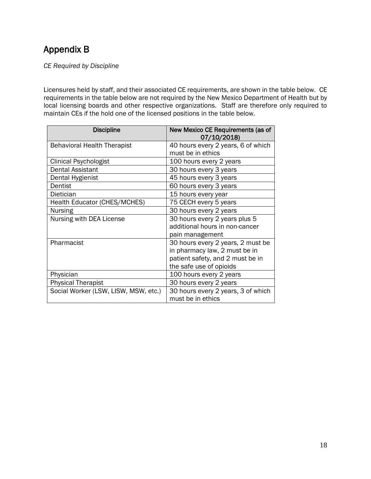### Appendix B

*CE Required by Discipline*

Licensures held by staff, and their associated CE requirements, are shown in the table below. CE requirements in the table below are not required by the New Mexico Department of Health but by local licensing boards and other respective organizations. Staff are therefore only required to maintain CEs if the hold one of the licensed positions in the table below.

| <b>Discipline</b>                    | New Mexico CE Requirements (as of<br>07/10/2018) |
|--------------------------------------|--------------------------------------------------|
| <b>Behavioral Health Therapist</b>   | 40 hours every 2 years, 6 of which               |
|                                      | must be in ethics                                |
| Clinical Psychologist                | 100 hours every 2 years                          |
| Dental Assistant                     | 30 hours every 3 years                           |
| Dental Hygienist                     | 45 hours every 3 years                           |
| Dentist                              | 60 hours every 3 years                           |
| <b>Dietician</b>                     | 15 hours every year                              |
| <b>Health Educator (CHES/MCHES)</b>  | 75 CECH every 5 years                            |
| <b>Nursing</b>                       | 30 hours every 2 years                           |
| Nursing with DEA License             | 30 hours every 2 years plus 5                    |
|                                      | additional hours in non-cancer                   |
|                                      | pain management                                  |
| Pharmacist                           | 30 hours every 2 years, 2 must be                |
|                                      | in pharmacy law, 2 must be in                    |
|                                      | patient safety, and 2 must be in                 |
|                                      | the safe use of opioids                          |
| Physician                            | 100 hours every 2 years                          |
| <b>Physical Therapist</b>            | 30 hours every 2 years                           |
| Social Worker (LSW, LISW, MSW, etc.) | 30 hours every 2 years, 3 of which               |
|                                      | must be in ethics                                |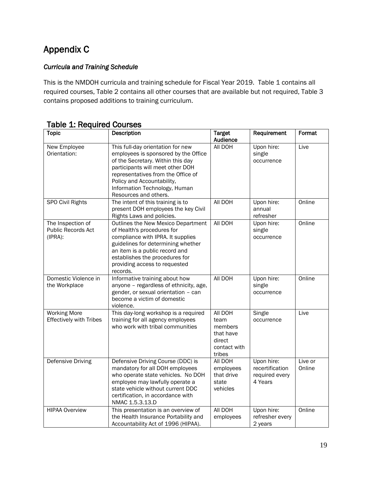# Appendix C

#### *Curricula and Training Schedule*

This is the NMDOH curricula and training schedule for Fiscal Year 2019. Table 1 contains all required courses, Table 2 contains all other courses that are available but not required, Table 3 contains proposed additions to training curriculum.

| <b>Topic</b>                                          | Description                                                                                                                                                                                                                                                                      | <b>Target</b><br>Audience                                                   | Requirement                                                | Format            |
|-------------------------------------------------------|----------------------------------------------------------------------------------------------------------------------------------------------------------------------------------------------------------------------------------------------------------------------------------|-----------------------------------------------------------------------------|------------------------------------------------------------|-------------------|
| New Employee<br>Orientation:                          | This full-day orientation for new<br>employees is sponsored by the Office<br>of the Secretary. Within this day<br>participants will meet other DOH<br>representatives from the Office of<br>Policy and Accountability,<br>Information Technology, Human<br>Resources and others. | All DOH                                                                     | Upon hire:<br>single<br>occurrence                         | Live              |
| SPO Civil Rights                                      | The intent of this training is to<br>present DOH employees the key Civil<br>Rights Laws and policies.                                                                                                                                                                            | All DOH                                                                     | Upon hire:<br>annual<br>refresher                          | Online            |
| The Inspection of<br>Public Records Act<br>(IPRA):    | Outlines the New Mexico Department<br>of Health's procedures for<br>compliance with IPRA. It supplies<br>guidelines for determining whether<br>an item is a public record and<br>establishes the procedures for<br>providing access to requested<br>records.                     | All DOH                                                                     | Upon hire:<br>single<br>occurrence                         | Online            |
| Domestic Violence in<br>the Workplace                 | Informative training about how<br>anyone - regardless of ethnicity, age,<br>gender, or sexual orientation - can<br>become a victim of domestic<br>violence.                                                                                                                      | All DOH                                                                     | Upon hire:<br>single<br>occurrence                         | Online            |
| <b>Working More</b><br><b>Effectively with Tribes</b> | This day-long workshop is a required<br>training for all agency employees<br>who work with tribal communities                                                                                                                                                                    | All DOH<br>team<br>members<br>that have<br>direct<br>contact with<br>tribes | Single<br>occurrence                                       | Live              |
| Defensive Driving                                     | Defensive Driving Course (DDC) is<br>mandatory for all DOH employees<br>who operate state vehicles. No DOH<br>employee may lawfully operate a<br>state vehicle without current DDC<br>certification, in accordance with<br>NMAC 1.5.3.13.D                                       | All DOH<br>employees<br>that drive<br>state<br>vehicles                     | Upon hire:<br>recertification<br>required every<br>4 Years | Live or<br>Online |
| <b>HIPAA Overview</b>                                 | This presentation is an overview of<br>the Health Insurance Portability and<br>Accountability Act of 1996 (HIPAA).                                                                                                                                                               | All DOH<br>employees                                                        | Upon hire:<br>refresher every<br>2 years                   | Online            |

Table 1: Required Courses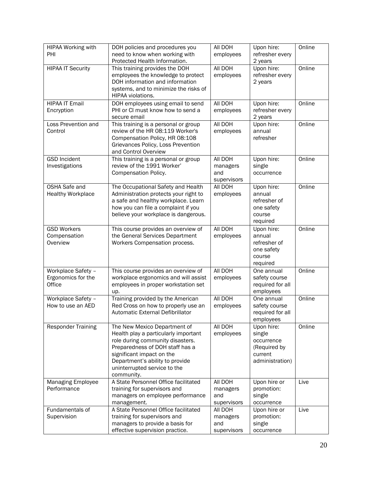| HIPAA Working with<br>PHI                          | DOH policies and procedures you                                                                                                                                                                                                                           | All DOH                                   | Upon hire:                                                                       | Online |
|----------------------------------------------------|-----------------------------------------------------------------------------------------------------------------------------------------------------------------------------------------------------------------------------------------------------------|-------------------------------------------|----------------------------------------------------------------------------------|--------|
|                                                    | need to know when working with<br>Protected Health Information.                                                                                                                                                                                           | employees                                 | refresher every<br>2 years                                                       |        |
| <b>HIPAA IT Security</b>                           | This training provides the DOH<br>employees the knowledge to protect<br>DOH information and information<br>systems, and to minimize the risks of<br>HIPAA violations.                                                                                     | All DOH<br>employees                      | Upon hire:<br>refresher every<br>2 years                                         | Online |
| <b>HIPAA IT Email</b><br>Encryption                | DOH employees using email to send<br>PHI or CI must know how to send a<br>secure email                                                                                                                                                                    | All DOH<br>employees                      | Upon hire:<br>refresher every<br>2 years                                         | Online |
| Loss Prevention and<br>Control                     | This training is a personal or group<br>review of the HR 08:119 Worker's<br>Compensation Policy, HR 08:108<br>Grievances Policy, Loss Prevention<br>and Control Overview                                                                                  | All DOH<br>employees                      | Upon hire:<br>annual<br>refresher                                                | Online |
| <b>GSD Incident</b><br>Investigations              | This training is a personal or group<br>review of the 1991 Worker'<br>Compensation Policy.                                                                                                                                                                | All DOH<br>managers<br>and<br>supervisors | Upon hire:<br>single<br>occurrence                                               | Online |
| OSHA Safe and<br><b>Healthy Workplace</b>          | The Occupational Safety and Health<br>Administration protects your right to<br>a safe and healthy workplace. Learn<br>how you can file a complaint if you<br>believe your workplace is dangerous.                                                         | All DOH<br>employees                      | Upon hire:<br>annual<br>refresher of<br>one safety<br>course<br>required         | Online |
| <b>GSD Workers</b><br>Compensation<br>Overview     | This course provides an overview of<br>the General Services Department<br>Workers Compensation process.                                                                                                                                                   | All DOH<br>employees                      | Upon hire:<br>annual<br>refresher of<br>one safety<br>course<br>required         | Online |
| Workplace Safety -<br>Ergonomics for the<br>Office | This course provides an overview of<br>workplace ergonomics and will assist<br>employees in proper workstation set<br>up.                                                                                                                                 | All DOH<br>employees                      | One annual<br>safety course<br>required for all<br>employees                     | Online |
| Workplace Safety -<br>How to use an AED            | Training provided by the American<br>Red Cross on how to properly use an<br>Automatic External Defibrillator                                                                                                                                              | All DOH<br>employees                      | One annual<br>safety course<br>required for all<br>employees                     | Online |
| <b>Responder Training</b>                          | The New Mexico Department of<br>Health play a particularly important<br>role during community disasters.<br>Preparedness of DOH staff has a<br>significant impact on the<br>Department's ability to provide<br>uninterrupted service to the<br>community. | All DOH<br>employees                      | Upon hire:<br>single<br>occurrence<br>(Required by<br>current<br>administration) | Online |
| <b>Managing Employee</b><br>Performance            | A State Personnel Office facilitated<br>training for supervisors and<br>managers on employee performance<br>management.                                                                                                                                   | All DOH<br>managers<br>and<br>supervisors | Upon hire or<br>promotion:<br>single<br>occurrence                               | Live   |
| Fundamentals of<br>Supervision                     | A State Personnel Office facilitated<br>training for supervisors and<br>managers to provide a basis for<br>effective supervision practice.                                                                                                                | AII DOH<br>managers<br>and<br>supervisors | Upon hire or<br>promotion:<br>single<br>occurrence                               | Live   |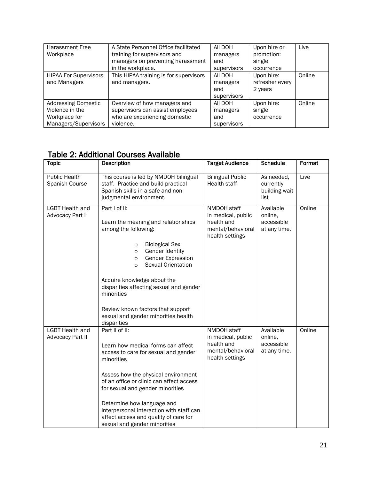| <b>Harassment Free</b><br>Workplace                                                    | A State Personnel Office facilitated<br>training for supervisors and<br>managers on preventing harassment<br>in the workplace. | AII DOH<br>managers<br>and<br>supervisors | Upon hire or<br>promotion:<br>single<br>occurrence | Live   |
|----------------------------------------------------------------------------------------|--------------------------------------------------------------------------------------------------------------------------------|-------------------------------------------|----------------------------------------------------|--------|
| <b>HIPAA For Supervisors</b><br>and Managers                                           | This HIPAA training is for supervisors<br>and managers.                                                                        | AII DOH<br>managers<br>and<br>supervisors | Upon hire:<br>refresher every<br>2 years           | Online |
| <b>Addressing Domestic</b><br>Violence in the<br>Workplace for<br>Managers/Supervisors | Overview of how managers and<br>supervisors can assist employees<br>who are experiencing domestic<br>violence.                 | AII DOH<br>managers<br>and<br>supervisors | Upon hire:<br>single<br>occurrence                 | Online |

#### Table 2: Additional Courses Available

| <b>Topic</b>                                      | Description                                                                                                                                                                                                                                                                                                                                                                                        | <b>Target Audience</b>                                                                  | <b>Schedule</b>                                    | Format |
|---------------------------------------------------|----------------------------------------------------------------------------------------------------------------------------------------------------------------------------------------------------------------------------------------------------------------------------------------------------------------------------------------------------------------------------------------------------|-----------------------------------------------------------------------------------------|----------------------------------------------------|--------|
| <b>Public Health</b><br>Spanish Course            | This course is led by NMDOH bilingual<br>staff. Practice and build practical<br>Spanish skills in a safe and non-<br>judgmental environment.                                                                                                                                                                                                                                                       | <b>Bilingual Public</b><br>Health staff                                                 | As needed,<br>currently<br>building wait<br>list   | Live   |
| <b>LGBT Health and</b><br><b>Advocacy Part I</b>  | Part I of II:<br>Learn the meaning and relationships<br>among the following:<br><b>Biological Sex</b><br>$\circ$<br>Gender Identity<br>$\circ$<br>Gender Expression<br>$\circ$<br>Sexual Orientation<br>$\circ$<br>Acquire knowledge about the<br>disparities affecting sexual and gender<br>minorities<br>Review known factors that support<br>sexual and gender minorities health<br>disparities | NMDOH staff<br>in medical, public<br>health and<br>mental/behavioral<br>health settings | Available<br>online,<br>accessible<br>at any time. | Online |
| <b>LGBT Health and</b><br><b>Advocacy Part II</b> | Part II of II:<br>Learn how medical forms can affect<br>access to care for sexual and gender<br>minorities<br>Assess how the physical environment<br>of an office or clinic can affect access<br>for sexual and gender minorities<br>Determine how language and<br>interpersonal interaction with staff can<br>affect access and quality of care for<br>sexual and gender minorities               | NMDOH staff<br>in medical, public<br>health and<br>mental/behavioral<br>health settings | Available<br>online.<br>accessible<br>at any time. | Online |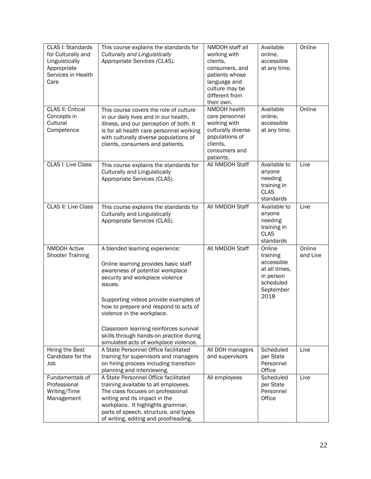| CLAS I: Standards<br>for Culturally and<br>Linguistically<br>Appropriate<br>Services in Health<br>Care | This course explains the standards for<br>Culturally and Linguistically<br>Appropriate Services (CLAS).                                                                                                                                                                                                                                                                                                | NMDOH staff all<br>working with<br>clients,<br>consumers, and<br>patients whose<br>language and<br>culture may be<br>different from<br>their own. | Available<br>online,<br>accessible<br>at any time.                                               | Online             |
|--------------------------------------------------------------------------------------------------------|--------------------------------------------------------------------------------------------------------------------------------------------------------------------------------------------------------------------------------------------------------------------------------------------------------------------------------------------------------------------------------------------------------|---------------------------------------------------------------------------------------------------------------------------------------------------|--------------------------------------------------------------------------------------------------|--------------------|
| <b>CLAS II: Critical</b><br>Concepts in<br>Cultural<br>Competence                                      | This course covers the role of culture<br>in our daily lives and in our health,<br>illness, and our perception of both. It<br>is for all health care personnel working<br>with culturally diverse populations of<br>clients, consumers and patients.                                                                                                                                                   | NMDOH health<br>care personnel<br>working with<br>culturally diverse<br>populations of<br>clients,<br>consumers and<br>patients.                  | Available<br>online,<br>accessible<br>at any time.                                               | Online             |
| CLAS I: Live Class                                                                                     | This course explains the standards for<br><b>Culturally and Linguistically</b><br>Appropriate Services (CLAS).                                                                                                                                                                                                                                                                                         | All NMDOH Staff                                                                                                                                   | Available to<br>anyone<br>needing<br>training in<br><b>CLAS</b><br>standards                     | Live               |
| <b>CLAS II: Live Class</b>                                                                             | This course explains the standards for<br><b>Culturally and Linguistically</b><br>Appropriate Services (CLAS).                                                                                                                                                                                                                                                                                         | All NMDOH Staff                                                                                                                                   | Available to<br>anyone<br>needing<br>training in<br><b>CLAS</b><br>standards                     | Live               |
| <b>NMDOH Active</b><br><b>Shooter Training</b>                                                         | A blended learning experience:<br>Online learning provides basic staff<br>awareness of potential workplace<br>security and workplace violence<br>issues.<br>Supporting videos provide examples of<br>how to prepare and respond to acts of<br>violence in the workplace.<br>Classroom learning reinforces survival<br>skills through hands-on practice during<br>simulated acts of workplace violence. | All NMDOH Staff                                                                                                                                   | Online<br>training<br>accessible<br>at all times,<br>in person<br>scheduled<br>September<br>2018 | Online<br>and Live |
| Hiring the Best<br>Candidate for the<br>Job                                                            | A State Personnel Office facilitated<br>training for supervisors and managers<br>on hiring process including transition<br>planning and interviewing.                                                                                                                                                                                                                                                  | All DOH managers<br>and supervisors                                                                                                               | Scheduled<br>per State<br>Personnel<br>Office                                                    | Live               |
| Fundamentals of<br>Professional<br>Writing/Time<br>Management                                          | A State Personnel Office facilitated<br>training available to all employees.<br>The class focuses on professional<br>writing and its impact in the<br>workplace. It highlights grammar,<br>parts of speech, structure, and types<br>of writing, editing and proofreading.                                                                                                                              | All employees                                                                                                                                     | Scheduled<br>per State<br>Personnel<br>Office                                                    | Live               |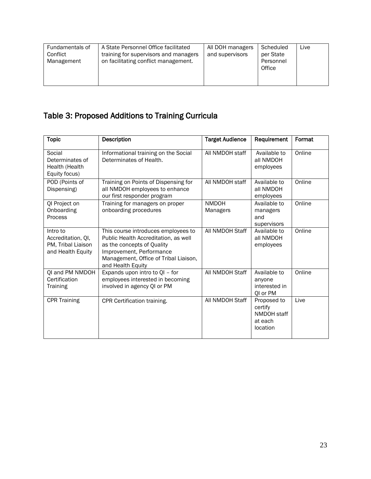| Fundamentals of<br>Conflict<br>Management | A State Personnel Office facilitated<br>training for supervisors and managers<br>on facilitating conflict management. | All DOH managers<br>and supervisors | Scheduled<br>per State<br>Personnel<br>Office | Live |
|-------------------------------------------|-----------------------------------------------------------------------------------------------------------------------|-------------------------------------|-----------------------------------------------|------|
|-------------------------------------------|-----------------------------------------------------------------------------------------------------------------------|-------------------------------------|-----------------------------------------------|------|

# Table 3: Proposed Additions to Training Curricula

| <b>Topic</b>                                                              | <b>Description</b>                                                                                                                                                                                  | <b>Target Audience</b>   | Requirement                                                  | Format |
|---------------------------------------------------------------------------|-----------------------------------------------------------------------------------------------------------------------------------------------------------------------------------------------------|--------------------------|--------------------------------------------------------------|--------|
| Social<br>Determinates of<br>Health (Health<br>Equity focus)              | Informational training on the Social<br>Determinates of Health.                                                                                                                                     | All NMDOH staff          | Available to<br>all NMDOH<br>employees                       | Online |
| POD (Points of<br>Dispensing)                                             | Training on Points of Dispensing for<br>all NMDOH employees to enhance<br>our first responder program                                                                                               | All NMDOH staff          | Available to<br>all NMDOH<br>employees                       | Online |
| QI Project on<br>Onboarding<br>Process                                    | Training for managers on proper<br>onboarding procedures                                                                                                                                            | <b>NMDOH</b><br>Managers | Available to<br>managers<br>and<br>supervisors               | Online |
| Intro to<br>Accreditation, OI.<br>PM, Tribal Liaison<br>and Health Equity | This course introduces employees to<br>Public Health Accreditation, as well<br>as the concepts of Quality<br>Improvement, Performance<br>Management, Office of Tribal Liaison,<br>and Health Equity | All NMDOH Staff          | Available to<br>all NMDOH<br>employees                       | Online |
| QI and PM NMDOH<br>Certification<br><b>Training</b>                       | Expands upon intro to QI - for<br>employees interested in becoming<br>involved in agency QI or PM                                                                                                   | All NMDOH Staff          | Available to<br>anyone<br>interested in<br>QI or PM          | Online |
| <b>CPR Training</b>                                                       | CPR Certification training.                                                                                                                                                                         | All NMDOH Staff          | Proposed to<br>certify<br>NMDOH staff<br>at each<br>location | Live   |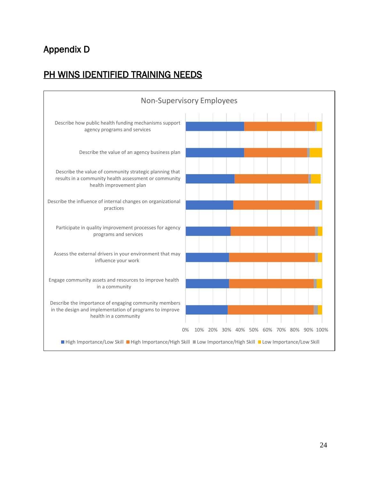# Appendix D

### PH WINS IDENTIFIED TRAINING NEEDS

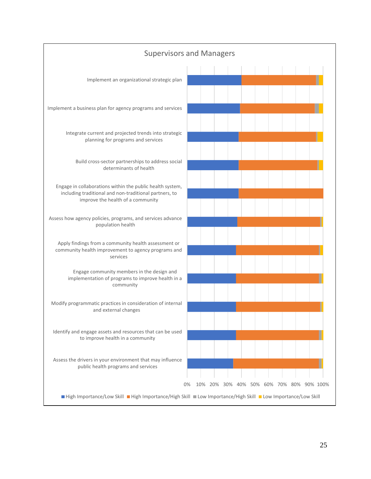![](_page_24_Figure_0.jpeg)